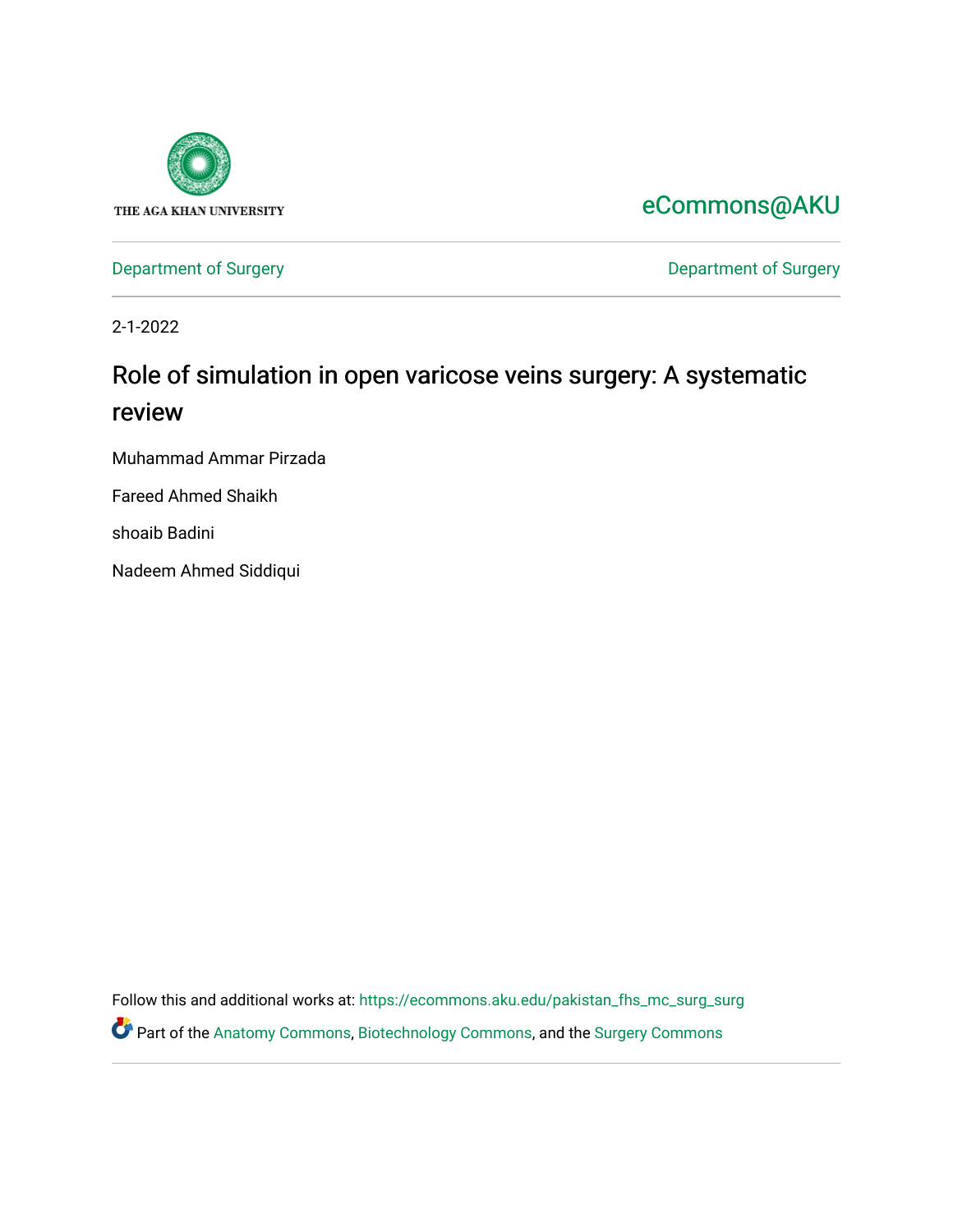

[eCommons@AKU](https://ecommons.aku.edu/) 

[Department of Surgery](https://ecommons.aku.edu/pakistan_fhs_mc_surg) **Department of Surgery** 

2-1-2022

# Role of simulation in open varicose veins surgery: A systematic review

Muhammad Ammar Pirzada

Fareed Ahmed Shaikh

shoaib Badini

Nadeem Ahmed Siddiqui

Follow this and additional works at: [https://ecommons.aku.edu/pakistan\\_fhs\\_mc\\_surg\\_surg](https://ecommons.aku.edu/pakistan_fhs_mc_surg_surg?utm_source=ecommons.aku.edu%2Fpakistan_fhs_mc_surg_surg%2F889&utm_medium=PDF&utm_campaign=PDFCoverPages)  Part of the [Anatomy Commons,](http://network.bepress.com/hgg/discipline/903?utm_source=ecommons.aku.edu%2Fpakistan_fhs_mc_surg_surg%2F889&utm_medium=PDF&utm_campaign=PDFCoverPages) [Biotechnology Commons](http://network.bepress.com/hgg/discipline/111?utm_source=ecommons.aku.edu%2Fpakistan_fhs_mc_surg_surg%2F889&utm_medium=PDF&utm_campaign=PDFCoverPages), and the [Surgery Commons](http://network.bepress.com/hgg/discipline/706?utm_source=ecommons.aku.edu%2Fpakistan_fhs_mc_surg_surg%2F889&utm_medium=PDF&utm_campaign=PDFCoverPages)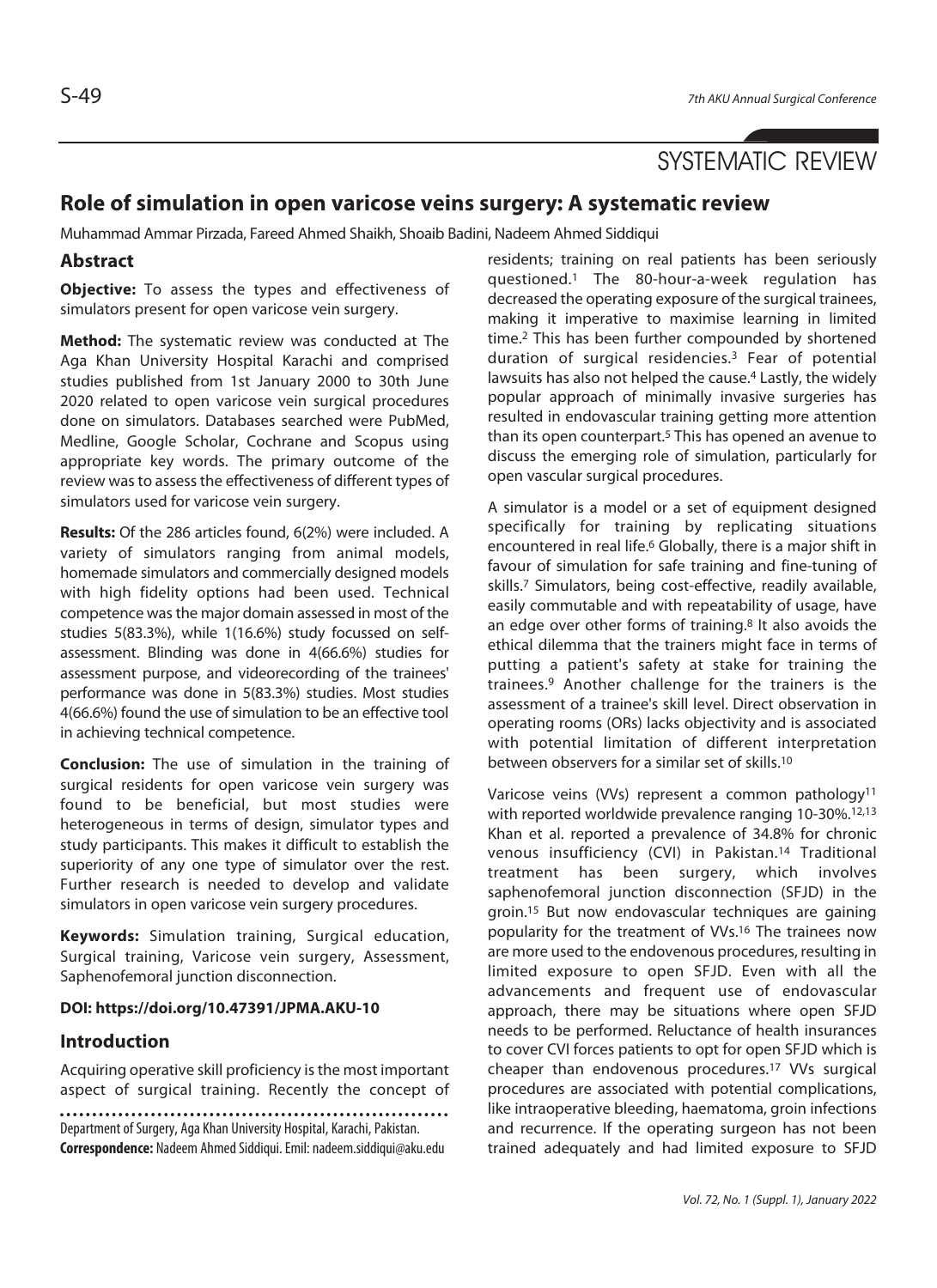# **Role of simulation in open varicose veins surgery: A systematic review**

Muhammad Ammar Pirzada, Fareed Ahmed Shaikh, Shoaib Badini, Nadeem Ahmed Siddiqui

# **Abstract**

**Objective:** To assess the types and effectiveness of simulators present for open varicose vein surgery.

**Method:** The systematic review was conducted at The Aga Khan University Hospital Karachi and comprised studies published from 1st January 2000 to 30th June 2020 related to open varicose vein surgical procedures done on simulators. Databases searched were PubMed, Medline, Google Scholar, Cochrane and Scopus using appropriate key words. The primary outcome of the review was to assess the effectiveness of different types of simulators used for varicose vein surgery.

**Results:** Of the 286 articles found, 6(2%) were included. A variety of simulators ranging from animal models, homemade simulators and commercially designed models with high fidelity options had been used. Technical competence was the major domain assessed in most of the studies 5(83.3%), while 1(16.6%) study focussed on selfassessment. Blinding was done in 4(66.6%) studies for assessment purpose, and videorecording of the trainees' performance was done in 5(83.3%) studies. Most studies 4(66.6%) found the use of simulation to be an effective tool in achieving technical competence.

**Conclusion:** The use of simulation in the training of surgical residents for open varicose vein surgery was found to be beneficial, but most studies were heterogeneous in terms of design, simulator types and study participants. This makes it difficult to establish the superiority of any one type of simulator over the rest. Further research is needed to develop and validate simulators in open varicose vein surgery procedures.

**Keywords:** Simulation training, Surgical education, Surgical training, Varicose vein surgery, Assessment, Saphenofemoral junction disconnection.

### **DOI: https://doi.org/10.47391/JPMA.AKU-10**

### **Introduction**

Acquiring operative skill proficiency is the most important aspect of surgical training. Recently the concept of

Department of Surgery, Aga Khan University Hospital, Karachi, Pakistan. **Correspondence:** Nadeem Ahmed Siddiqui. Emil: nadeem.siddiqui@aku.edu residents; training on real patients has been seriously questioned.1 The 80-hour-a-week regulation has decreased the operating exposure of the surgical trainees, making it imperative to maximise learning in limited time.2 This has been further compounded by shortened duration of surgical residencies.3 Fear of potential lawsuits has also not helped the cause.<sup>4</sup> Lastly, the widely popular approach of minimally invasive surgeries has resulted in endovascular training getting more attention than its open counterpart.5 This has opened an avenue to discuss the emerging role of simulation, particularly for open vascular surgical procedures.

A simulator is a model or a set of equipment designed specifically for training by replicating situations encountered in real life.<sup>6</sup> Globally, there is a major shift in favour of simulation for safe training and fine-tuning of skills.7 Simulators, being cost-effective, readily available, easily commutable and with repeatability of usage, have an edge over other forms of training.<sup>8</sup> It also avoids the ethical dilemma that the trainers might face in terms of putting a patient's safety at stake for training the trainees.9 Another challenge for the trainers is the assessment of a trainee's skill level. Direct observation in operating rooms (ORs) lacks objectivity and is associated with potential limitation of different interpretation between observers for a similar set of skills.10

Varicose veins (VVs) represent a common pathology<sup>11</sup> with reported worldwide prevalence ranging 10-30%.<sup>12,13</sup> Khan et al. reported a prevalence of 34.8% for chronic venous insufficiency (CVI) in Pakistan.14 Traditional treatment has been surgery, which involves saphenofemoral junction disconnection (SFJD) in the groin.15 But now endovascular techniques are gaining popularity for the treatment of VVs.16 The trainees now are more used to the endovenous procedures, resulting in limited exposure to open SFJD. Even with all the advancements and frequent use of endovascular approach, there may be situations where open SFJD needs to be performed. Reluctance of health insurances to cover CVI forces patients to opt for open SFJD which is cheaper than endovenous procedures.17 VVs surgical procedures are associated with potential complications, like intraoperative bleeding, haematoma, groin infections and recurrence. If the operating surgeon has not been trained adequately and had limited exposure to SFJD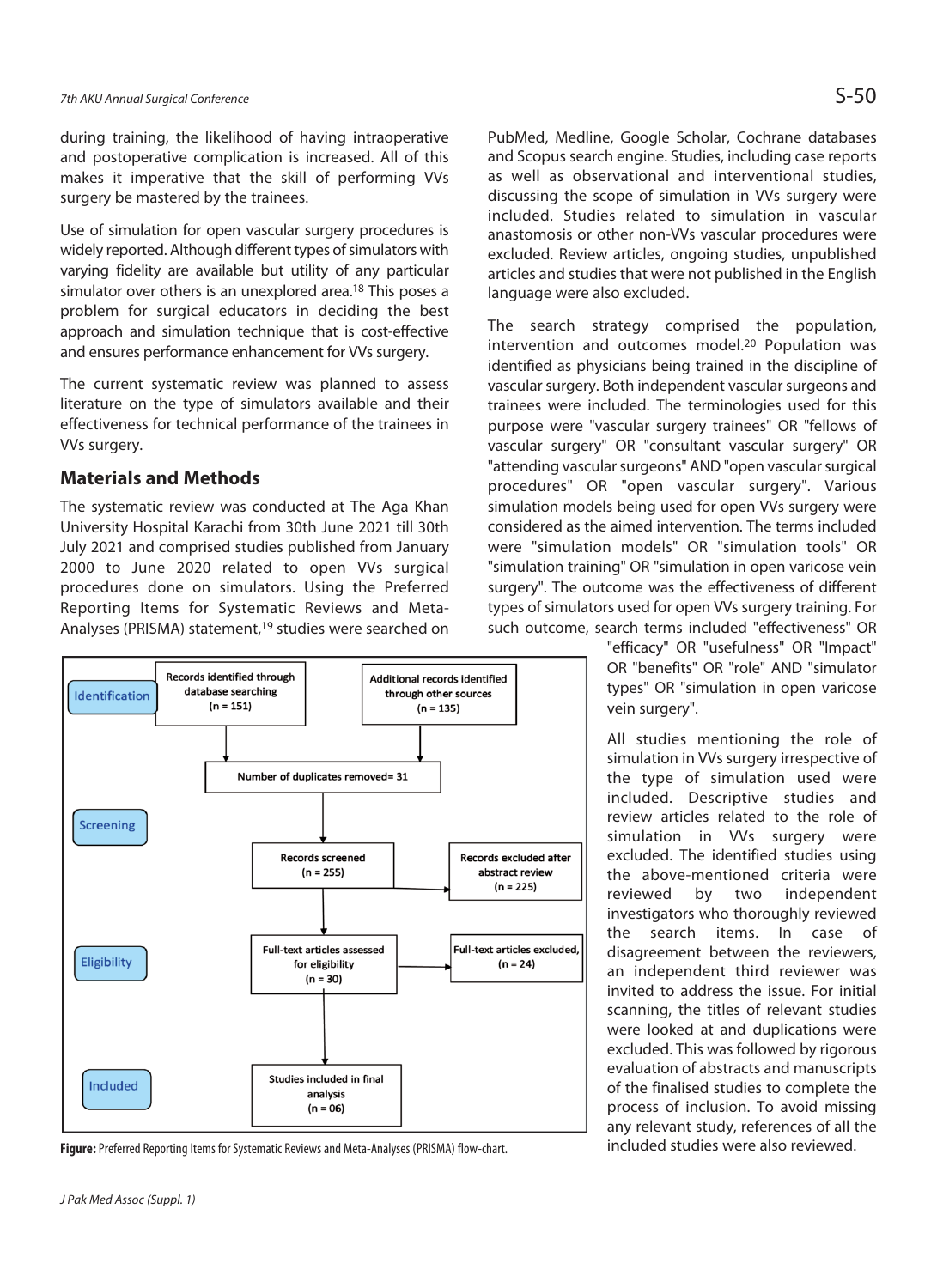during training, the likelihood of having intraoperative and postoperative complication is increased. All of this makes it imperative that the skill of performing VVs surgery be mastered by the trainees.

Use of simulation for open vascular surgery procedures is widely reported. Although different types of simulators with varying fidelity are available but utility of any particular simulator over others is an unexplored area.<sup>18</sup> This poses a problem for surgical educators in deciding the best approach and simulation technique that is cost-effective and ensures performance enhancement for VVs surgery.

The current systematic review was planned to assess literature on the type of simulators available and their effectiveness for technical performance of the trainees in VVs surgery.

# **Materials and Methods**

The systematic review was conducted at The Aga Khan University Hospital Karachi from 30th June 2021 till 30th July 2021 and comprised studies published from January 2000 to June 2020 related to open VVs surgical procedures done on simulators. Using the Preferred Reporting Items for Systematic Reviews and Meta-Analyses (PRISMA) statement,<sup>19</sup> studies were searched on



Figure: Preferred Reporting Items for Systematic Reviews and Meta-Analyses (PRISMA) flow-chart. **included studies were also reviewed.** 

PubMed, Medline, Google Scholar, Cochrane databases and Scopus search engine. Studies, including case reports as well as observational and interventional studies, discussing the scope of simulation in VVs surgery were included. Studies related to simulation in vascular anastomosis or other non-VVs vascular procedures were excluded. Review articles, ongoing studies, unpublished articles and studies that were not published in the English language were also excluded.

The search strategy comprised the population, intervention and outcomes model.20 Population was identified as physicians being trained in the discipline of vascular surgery. Both independent vascular surgeons and trainees were included. The terminologies used for this purpose were "vascular surgery trainees" OR "fellows of vascular surgery" OR "consultant vascular surgery" OR "attending vascular surgeons" AND "open vascular surgical procedures" OR "open vascular surgery". Various simulation models being used for open VVs surgery were considered as the aimed intervention. The terms included were "simulation models" OR "simulation tools" OR "simulation training" OR "simulation in open varicose vein surgery". The outcome was the effectiveness of different types of simulators used for open VVs surgery training. For such outcome, search terms included "effectiveness" OR

> "efficacy" OR "usefulness" OR "Impact" OR "benefits" OR "role" AND "simulator types" OR "simulation in open varicose vein surgery".

> All studies mentioning the role of simulation in VVs surgery irrespective of the type of simulation used were included. Descriptive studies and review articles related to the role of simulation in VVs surgery were excluded. The identified studies using the above-mentioned criteria were reviewed by two independent investigators who thoroughly reviewed the search items. In case of disagreement between the reviewers, an independent third reviewer was invited to address the issue. For initial scanning, the titles of relevant studies were looked at and duplications were excluded. This was followed by rigorous evaluation of abstracts and manuscripts of the finalised studies to complete the process of inclusion. To avoid missing any relevant study, references of all the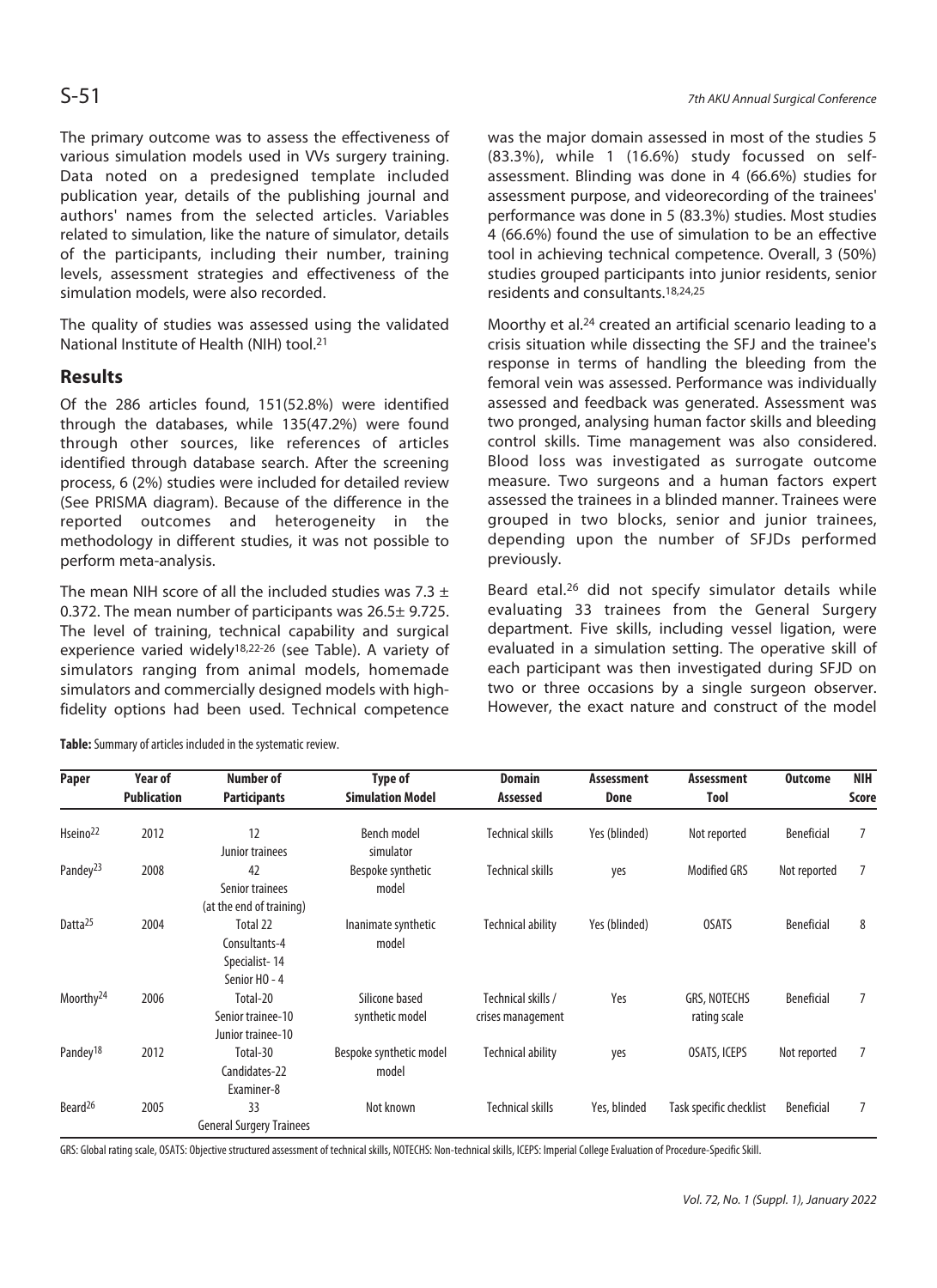The primary outcome was to assess the effectiveness of various simulation models used in VVs surgery training. Data noted on a predesigned template included publication year, details of the publishing journal and authors' names from the selected articles. Variables related to simulation, like the nature of simulator, details of the participants, including their number, training levels, assessment strategies and effectiveness of the simulation models, were also recorded.

The quality of studies was assessed using the validated National Institute of Health (NIH) tool.21

# **Results**

Of the 286 articles found, 151(52.8%) were identified through the databases, while 135(47.2%) were found through other sources, like references of articles identified through database search. After the screening process, 6 (2%) studies were included for detailed review (See PRISMA diagram). Because of the difference in the reported outcomes and heterogeneity in the methodology in different studies, it was not possible to perform meta-analysis.

The mean NIH score of all the included studies was 7.3  $\pm$ 0.372. The mean number of participants was 26.5± 9.725. The level of training, technical capability and surgical experience varied widely18,22-26 (see Table). A variety of simulators ranging from animal models, homemade simulators and commercially designed models with highfidelity options had been used. Technical competence

was the major domain assessed in most of the studies 5 (83.3%), while 1 (16.6%) study focussed on selfassessment. Blinding was done in 4 (66.6%) studies for assessment purpose, and videorecording of the trainees' performance was done in 5 (83.3%) studies. Most studies 4 (66.6%) found the use of simulation to be an effective tool in achieving technical competence. Overall, 3 (50%) studies grouped participants into junior residents, senior residents and consultants.18,24,25

Moorthy et al.24 created an artificial scenario leading to a crisis situation while dissecting the SFJ and the trainee's response in terms of handling the bleeding from the femoral vein was assessed. Performance was individually assessed and feedback was generated. Assessment was two pronged, analysing human factor skills and bleeding control skills. Time management was also considered. Blood loss was investigated as surrogate outcome measure. Two surgeons and a human factors expert assessed the trainees in a blinded manner. Trainees were grouped in two blocks, senior and junior trainees, depending upon the number of SFJDs performed previously.

Beard etal.26 did not specify simulator details while evaluating 33 trainees from the General Surgery department. Five skills, including vessel ligation, were evaluated in a simulation setting. The operative skill of each participant was then investigated during SFJD on two or three occasions by a single surgeon observer. However, the exact nature and construct of the model

| <b>Paper</b>          | Year of<br><b>Publication</b> | Number of<br><b>Participants</b>                            | <b>Type of</b><br><b>Simulation Model</b> | <b>Domain</b><br>Assessed               | <b>Assessment</b><br><b>Done</b> | <b>Assessment</b><br>Tool    | <b>Outcome</b>    | <b>NIH</b><br>Score |
|-----------------------|-------------------------------|-------------------------------------------------------------|-------------------------------------------|-----------------------------------------|----------------------------------|------------------------------|-------------------|---------------------|
|                       |                               |                                                             |                                           |                                         |                                  |                              |                   |                     |
| Pandey <sup>23</sup>  | 2008                          | 42<br>Senior trainees<br>(at the end of training)           | Bespoke synthetic<br>model                | <b>Technical skills</b>                 | yes                              | <b>Modified GRS</b>          | Not reported      |                     |
| Datta <sup>25</sup>   | 2004                          | Total 22<br>Consultants-4<br>Specialist-14<br>Senior HO - 4 | Inanimate synthetic<br>model              | <b>Technical ability</b>                | Yes (blinded)                    | <b>OSATS</b>                 | <b>Beneficial</b> | 8                   |
| Moorthy <sup>24</sup> | 2006                          | Total-20<br>Senior trainee-10<br>Junior trainee-10          | Silicone based<br>synthetic model         | Technical skills /<br>crises management | Yes                              | GRS, NOTECHS<br>rating scale | Beneficial        |                     |
| Pandey <sup>18</sup>  | 2012                          | Total-30<br>Candidates-22<br>Examiner-8                     | Bespoke synthetic model<br>model          | <b>Technical ability</b>                | yes                              | OSATS, ICEPS                 | Not reported      | 7                   |
| Beard <sup>26</sup>   | 2005                          | 33<br><b>General Surgery Trainees</b>                       | Not known                                 | Technical skills                        | Yes, blinded                     | Task specific checklist      | Beneficial        |                     |

**Table:** Summary of articles included in the systematic review.

GRS: Global rating scale, OSATS: Objective structured assessment of technical skills, NOTECHS: Non-technical skills, ICEPS: Imperial College Evaluation of Procedure-Specific Skill.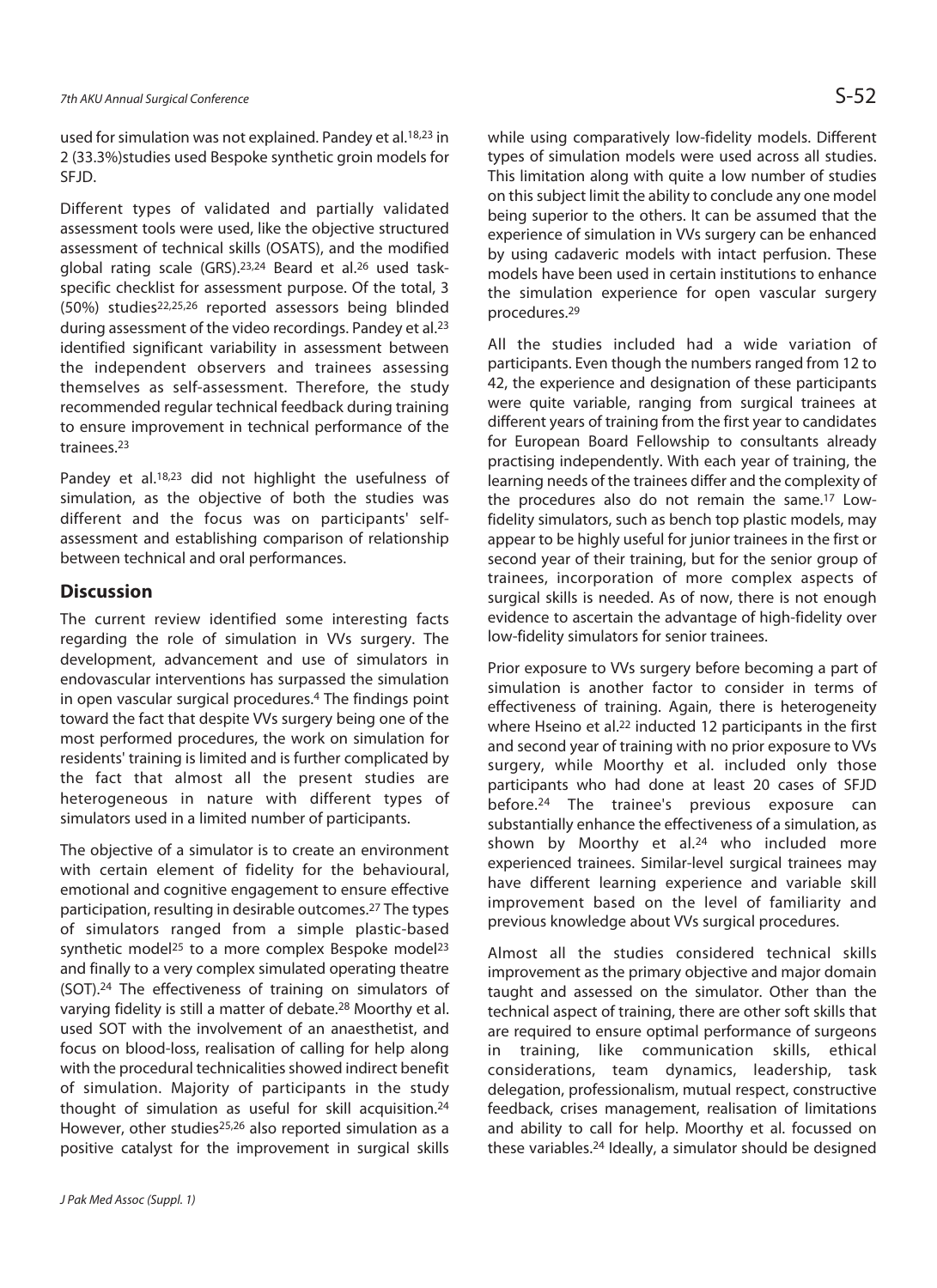used for simulation was not explained. Pandey et al.18,23 in 2 (33.3%)studies used Bespoke synthetic groin models for SFJD.

Different types of validated and partially validated assessment tools were used, like the objective structured assessment of technical skills (OSATS), and the modified global rating scale (GRS).23,24 Beard et al.26 used taskspecific checklist for assessment purpose. Of the total, 3 (50%) studies22,25,26 reported assessors being blinded during assessment of the video recordings. Pandey et al.23 identified significant variability in assessment between the independent observers and trainees assessing themselves as self-assessment. Therefore, the study recommended regular technical feedback during training to ensure improvement in technical performance of the trainees.23

Pandey et al.<sup>18,23</sup> did not highlight the usefulness of simulation, as the objective of both the studies was different and the focus was on participants' selfassessment and establishing comparison of relationship between technical and oral performances.

### **Discussion**

The current review identified some interesting facts regarding the role of simulation in VVs surgery. The development, advancement and use of simulators in endovascular interventions has surpassed the simulation in open vascular surgical procedures.4 The findings point toward the fact that despite VVs surgery being one of the most performed procedures, the work on simulation for residents' training is limited and is further complicated by the fact that almost all the present studies are heterogeneous in nature with different types of simulators used in a limited number of participants.

The objective of a simulator is to create an environment with certain element of fidelity for the behavioural, emotional and cognitive engagement to ensure effective participation, resulting in desirable outcomes.27 The types of simulators ranged from a simple plastic-based synthetic model<sup>25</sup> to a more complex Bespoke model<sup>23</sup> and finally to a very complex simulated operating theatre (SOT).24 The effectiveness of training on simulators of varying fidelity is still a matter of debate.28 Moorthy et al. used SOT with the involvement of an anaesthetist, and focus on blood-loss, realisation of calling for help along with the procedural technicalities showed indirect benefit of simulation. Majority of participants in the study thought of simulation as useful for skill acquisition.24 However, other studies<sup>25,26</sup> also reported simulation as a positive catalyst for the improvement in surgical skills

while using comparatively low-fidelity models. Different types of simulation models were used across all studies. This limitation along with quite a low number of studies on this subject limit the ability to conclude any one model being superior to the others. It can be assumed that the experience of simulation in VVs surgery can be enhanced by using cadaveric models with intact perfusion. These models have been used in certain institutions to enhance the simulation experience for open vascular surgery procedures.29

All the studies included had a wide variation of participants. Even though the numbers ranged from 12 to 42, the experience and designation of these participants were quite variable, ranging from surgical trainees at different years of training from the first year to candidates for European Board Fellowship to consultants already practising independently. With each year of training, the learning needs of the trainees differ and the complexity of the procedures also do not remain the same.17 Lowfidelity simulators, such as bench top plastic models, may appear to be highly useful for junior trainees in the first or second year of their training, but for the senior group of trainees, incorporation of more complex aspects of surgical skills is needed. As of now, there is not enough evidence to ascertain the advantage of high-fidelity over low-fidelity simulators for senior trainees.

Prior exposure to VVs surgery before becoming a part of simulation is another factor to consider in terms of effectiveness of training. Again, there is heterogeneity where Hseino et al.<sup>22</sup> inducted 12 participants in the first and second year of training with no prior exposure to VVs surgery, while Moorthy et al. included only those participants who had done at least 20 cases of SFJD before.24 The trainee's previous exposure can substantially enhance the effectiveness of a simulation, as shown by Moorthy et al.<sup>24</sup> who included more experienced trainees. Similar-level surgical trainees may have different learning experience and variable skill improvement based on the level of familiarity and previous knowledge about VVs surgical procedures.

Almost all the studies considered technical skills improvement as the primary objective and major domain taught and assessed on the simulator. Other than the technical aspect of training, there are other soft skills that are required to ensure optimal performance of surgeons in training, like communication skills, ethical considerations, team dynamics, leadership, task delegation, professionalism, mutual respect, constructive feedback, crises management, realisation of limitations and ability to call for help. Moorthy et al. focussed on these variables.24 Ideally, a simulator should be designed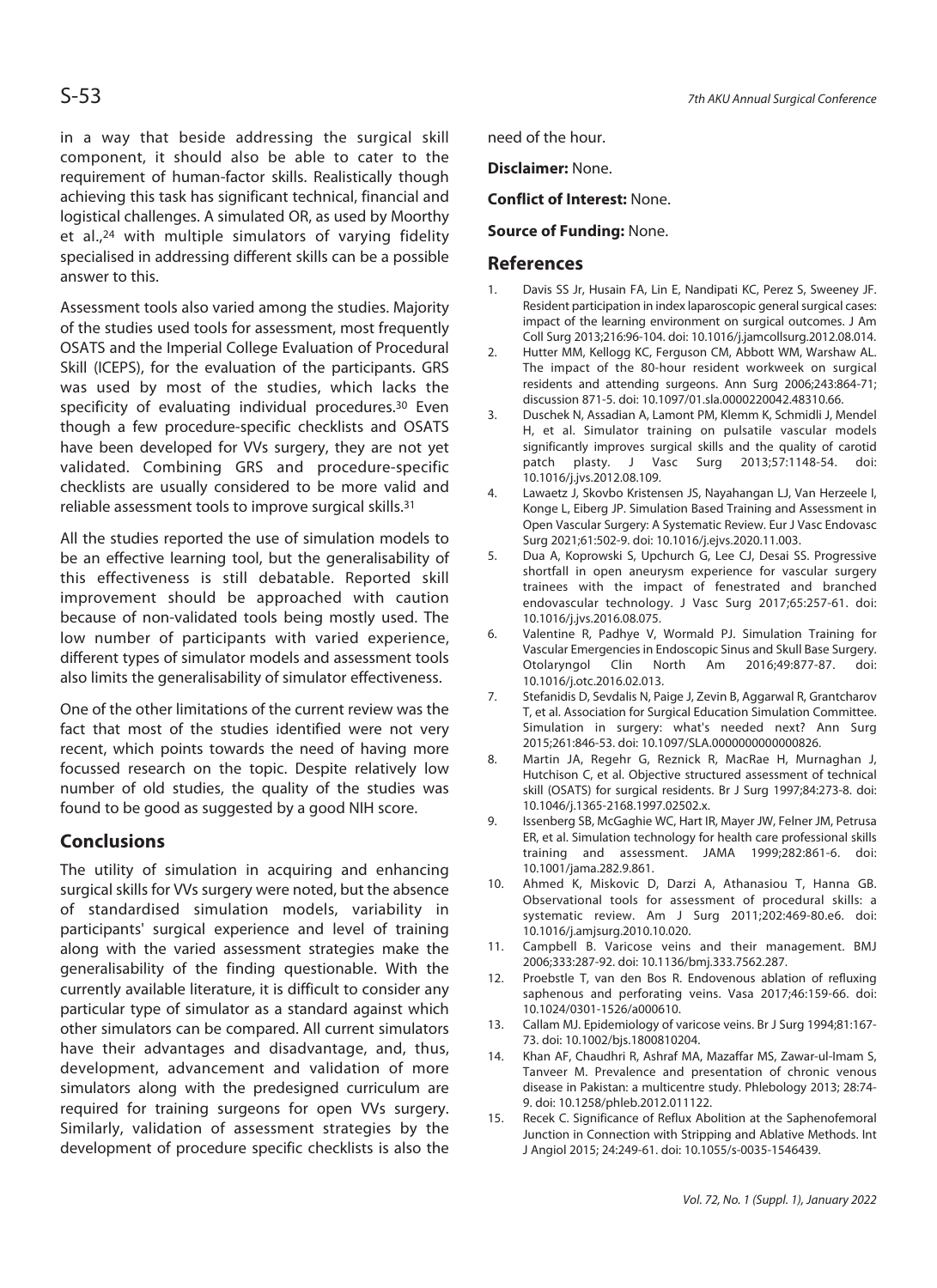in a way that beside addressing the surgical skill component, it should also be able to cater to the requirement of human-factor skills. Realistically though achieving this task has significant technical, financial and logistical challenges. A simulated OR, as used by Moorthy et al.,24 with multiple simulators of varying fidelity specialised in addressing different skills can be a possible answer to this.

Assessment tools also varied among the studies. Majority of the studies used tools for assessment, most frequently OSATS and the Imperial College Evaluation of Procedural Skill (ICEPS), for the evaluation of the participants. GRS was used by most of the studies, which lacks the specificity of evaluating individual procedures.30 Even though a few procedure-specific checklists and OSATS have been developed for VVs surgery, they are not yet validated. Combining GRS and procedure-specific checklists are usually considered to be more valid and reliable assessment tools to improve surgical skills.31

All the studies reported the use of simulation models to be an effective learning tool, but the generalisability of this effectiveness is still debatable. Reported skill improvement should be approached with caution because of non-validated tools being mostly used. The low number of participants with varied experience, different types of simulator models and assessment tools also limits the generalisability of simulator effectiveness.

One of the other limitations of the current review was the fact that most of the studies identified were not very recent, which points towards the need of having more focussed research on the topic. Despite relatively low number of old studies, the quality of the studies was found to be good as suggested by a good NIH score.

# **Conclusions**

The utility of simulation in acquiring and enhancing surgical skills for VVs surgery were noted, but the absence of standardised simulation models, variability in participants' surgical experience and level of training along with the varied assessment strategies make the generalisability of the finding questionable. With the currently available literature, it is difficult to consider any particular type of simulator as a standard against which other simulators can be compared. All current simulators have their advantages and disadvantage, and, thus, development, advancement and validation of more simulators along with the predesigned curriculum are required for training surgeons for open VVs surgery. Similarly, validation of assessment strategies by the development of procedure specific checklists is also the need of the hour.

**Disclaimer:** None.

**Conflict of Interest:** None.

### **Source of Funding:** None.

### **References**

- 1. Davis SS Jr, Husain FA, Lin E, Nandipati KC, Perez S, Sweeney JF. Resident participation in index laparoscopic general surgical cases: impact of the learning environment on surgical outcomes. J Am Coll Surg 2013;216:96-104. doi: 10.1016/j.jamcollsurg.2012.08.014.
- 2. Hutter MM, Kellogg KC, Ferguson CM, Abbott WM, Warshaw AL. The impact of the 80-hour resident workweek on surgical residents and attending surgeons. Ann Surg 2006;243:864-71; discussion 871-5. doi: 10.1097/01.sla.0000220042.48310.66.
- 3. Duschek N, Assadian A, Lamont PM, Klemm K, Schmidli J, Mendel H, et al. Simulator training on pulsatile vascular models significantly improves surgical skills and the quality of carotid patch plasty. J Vasc Surg 2013;57:1148-54. doi: 10.1016/j.jvs.2012.08.109.
- 4. Lawaetz J, Skovbo Kristensen JS, Nayahangan LJ, Van Herzeele I, Konge L, Eiberg JP. Simulation Based Training and Assessment in Open Vascular Surgery: A Systematic Review. Eur J Vasc Endovasc Surg 2021;61:502-9. doi: 10.1016/j.ejvs.2020.11.003.
- 5. Dua A, Koprowski S, Upchurch G, Lee CJ, Desai SS. Progressive shortfall in open aneurysm experience for vascular surgery trainees with the impact of fenestrated and branched endovascular technology. J Vasc Surg 2017;65:257-61. doi: 10.1016/j.jvs.2016.08.075.
- 6. Valentine R, Padhye V, Wormald PJ. Simulation Training for Vascular Emergencies in Endoscopic Sinus and Skull Base Surgery. Otolaryngol Clin North Am 2016;49:877-87. doi: 10.1016/j.otc.2016.02.013.
- 7. Stefanidis D, Sevdalis N, Paige J, Zevin B, Aggarwal R, Grantcharov T, et al. Association for Surgical Education Simulation Committee. Simulation in surgery: what's needed next? Ann Surg 2015;261:846-53. doi: 10.1097/SLA.0000000000000826.
- 8. Martin JA, Regehr G, Reznick R, MacRae H, Murnaghan J, Hutchison C, et al. Objective structured assessment of technical skill (OSATS) for surgical residents. Br J Surg 1997;84:273-8. doi: 10.1046/j.1365-2168.1997.02502.x.
- 9. Issenberg SB, McGaghie WC, Hart IR, Mayer JW, Felner JM, Petrusa ER, et al. Simulation technology for health care professional skills training and assessment. JAMA 1999;282:861-6. doi: 10.1001/jama.282.9.861.
- 10. Ahmed K, Miskovic D, Darzi A, Athanasiou T, Hanna GB. Observational tools for assessment of procedural skills: a systematic review. Am J Surg 2011;202:469-80.e6. doi: 10.1016/j.amjsurg.2010.10.020.
- 11. Campbell B. Varicose veins and their management. BMJ 2006;333:287-92. doi: 10.1136/bmj.333.7562.287.
- 12. Proebstle T, van den Bos R. Endovenous ablation of refluxing saphenous and perforating veins. Vasa 2017;46:159-66. doi: 10.1024/0301-1526/a000610.
- 13. Callam MJ. Epidemiology of varicose veins. Br J Surg 1994;81:167- 73. doi: 10.1002/bjs.1800810204.
- 14. Khan AF, Chaudhri R, Ashraf MA, Mazaffar MS, Zawar-ul-Imam S, Tanveer M. Prevalence and presentation of chronic venous disease in Pakistan: a multicentre study. Phlebology 2013; 28:74- 9. doi: 10.1258/phleb.2012.011122.
- 15. Recek C. Significance of Reflux Abolition at the Saphenofemoral Junction in Connection with Stripping and Ablative Methods. Int J Angiol 2015; 24:249-61. doi: 10.1055/s-0035-1546439.